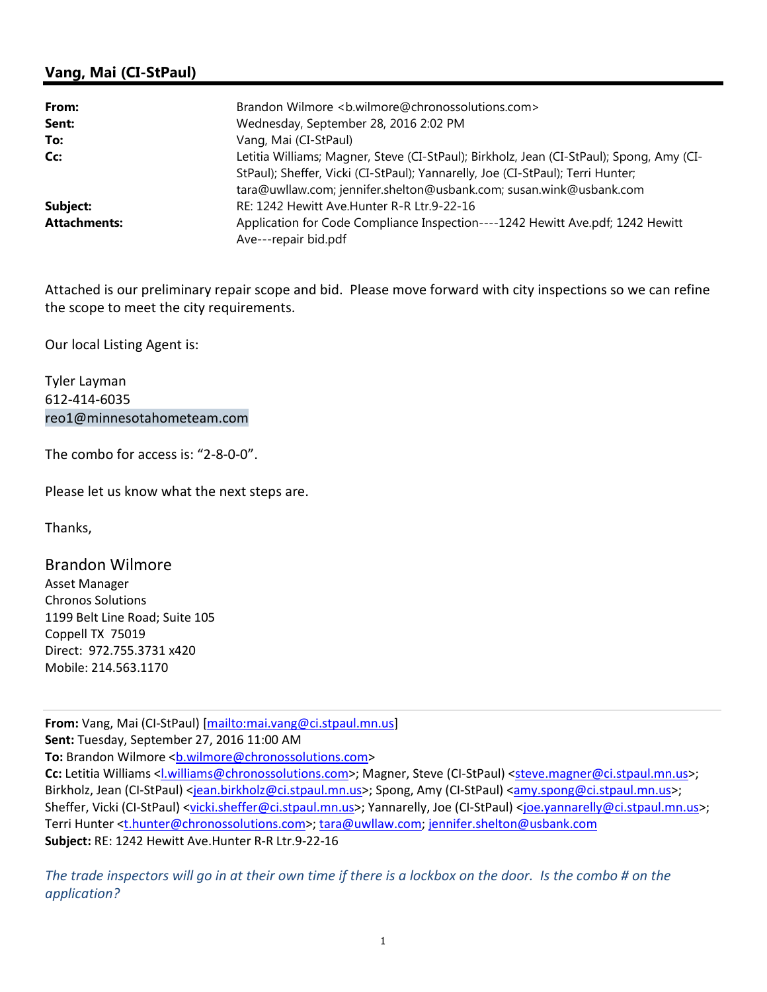## Vang, Mai (CI-StPaul)

| From:               | Brandon Wilmore <b.wilmore@chronossolutions.com></b.wilmore@chronossolutions.com>                                                                                                                                                                  |
|---------------------|----------------------------------------------------------------------------------------------------------------------------------------------------------------------------------------------------------------------------------------------------|
| Sent:               | Wednesday, September 28, 2016 2:02 PM                                                                                                                                                                                                              |
| To:                 | Vang, Mai (CI-StPaul)                                                                                                                                                                                                                              |
| Cc:                 | Letitia Williams; Magner, Steve (CI-StPaul); Birkholz, Jean (CI-StPaul); Spong, Amy (CI-<br>StPaul); Sheffer, Vicki (CI-StPaul); Yannarelly, Joe (CI-StPaul); Terri Hunter;<br>tara@uwllaw.com; jennifer.shelton@usbank.com; susan.wink@usbank.com |
| Subject:            | RE: 1242 Hewitt Ave.Hunter R-R Ltr.9-22-16                                                                                                                                                                                                         |
| <b>Attachments:</b> | Application for Code Compliance Inspection----1242 Hewitt Ave.pdf; 1242 Hewitt<br>Ave---repair bid.pdf                                                                                                                                             |

Attached is our preliminary repair scope and bid. Please move forward with city inspections so we can refine the scope to meet the city requirements.

Our local Listing Agent is:

Tyler Layman 612-414-6035 reo1@minnesotahometeam.com

The combo for access is: "2-8-0-0".

Please let us know what the next steps are.

Thanks,

Brandon Wilmore Asset Manager Chronos Solutions 1199 Belt Line Road; Suite 105 Coppell TX 75019 Direct: 972.755.3731 x420 Mobile: 214.563.1170

From: Vang, Mai (CI-StPaul) [mailto:mai.vang@ci.stpaul.mn.us] Sent: Tuesday, September 27, 2016 11:00 AM To: Brandon Wilmore <b.wilmore@chronossolutions.com> Cc: Letitia Williams <l.williams@chronossolutions.com>; Magner, Steve (CI-StPaul) <steve.magner@ci.stpaul.mn.us>; Birkholz, Jean (CI-StPaul) <jean.birkholz@ci.stpaul.mn.us>; Spong, Amy (CI-StPaul) <amy.spong@ci.stpaul.mn.us>; Sheffer, Vicki (CI-StPaul) <vicki.sheffer@ci.stpaul.mn.us>; Yannarelly, Joe (CI-StPaul) <joe.yannarelly@ci.stpaul.mn.us>; Terri Hunter <t.hunter@chronossolutions.com>; tara@uwllaw.com; jennifer.shelton@usbank.com Subject: RE: 1242 Hewitt Ave.Hunter R-R Ltr.9-22-16

The trade inspectors will go in at their own time if there is a lockbox on the door. Is the combo # on the application?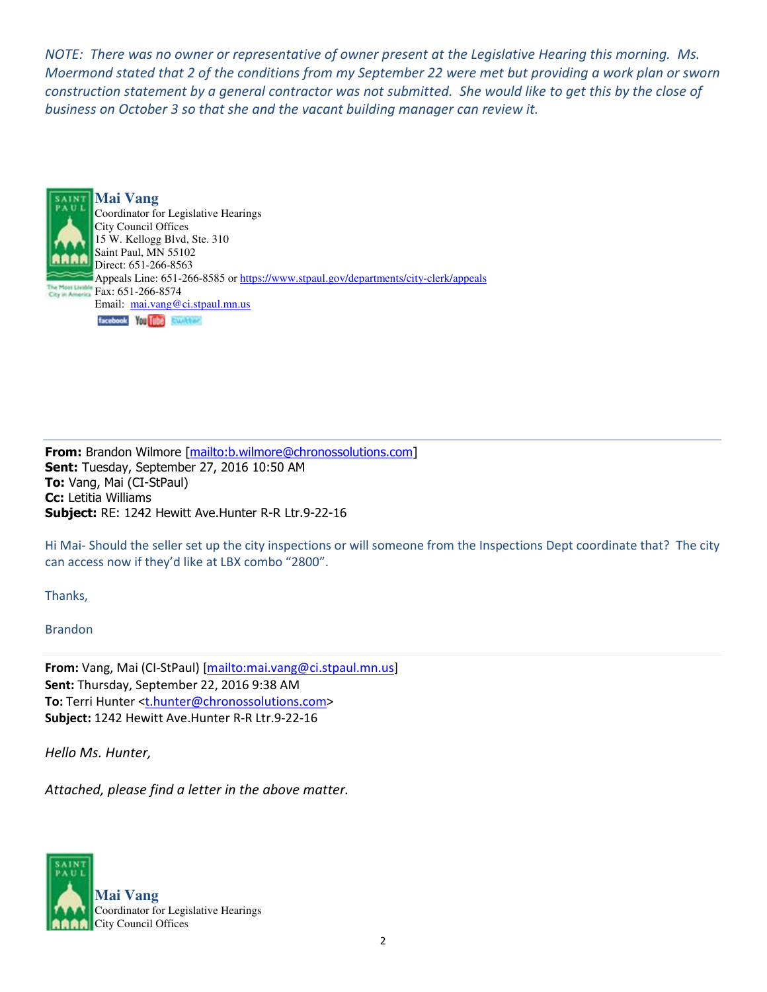NOTE: There was no owner or representative of owner present at the Legislative Hearing this morning. Ms. Moermond stated that 2 of the conditions from my September 22 were met but providing a work plan or sworn construction statement by a general contractor was not submitted. She would like to get this by the close of business on October 3 so that she and the vacant building manager can review it.



From: Brandon Wilmore [mailto:b.wilmore@chronossolutions.com] Sent: Tuesday, September 27, 2016 10:50 AM To: Vang, Mai (CI-StPaul) Cc: Letitia Williams Subject: RE: 1242 Hewitt Ave.Hunter R-R Ltr.9-22-16

Hi Mai- Should the seller set up the city inspections or will someone from the Inspections Dept coordinate that? The city can access now if they'd like at LBX combo "2800".

Thanks,

Brandon

From: Vang, Mai (CI-StPaul) [mailto:mai.vang@ci.stpaul.mn.us] Sent: Thursday, September 22, 2016 9:38 AM To: Terri Hunter <t.hunter@chronossolutions.com> Subject: 1242 Hewitt Ave.Hunter R-R Ltr.9-22-16

Hello Ms. Hunter,

Attached, please find a letter in the above matter.